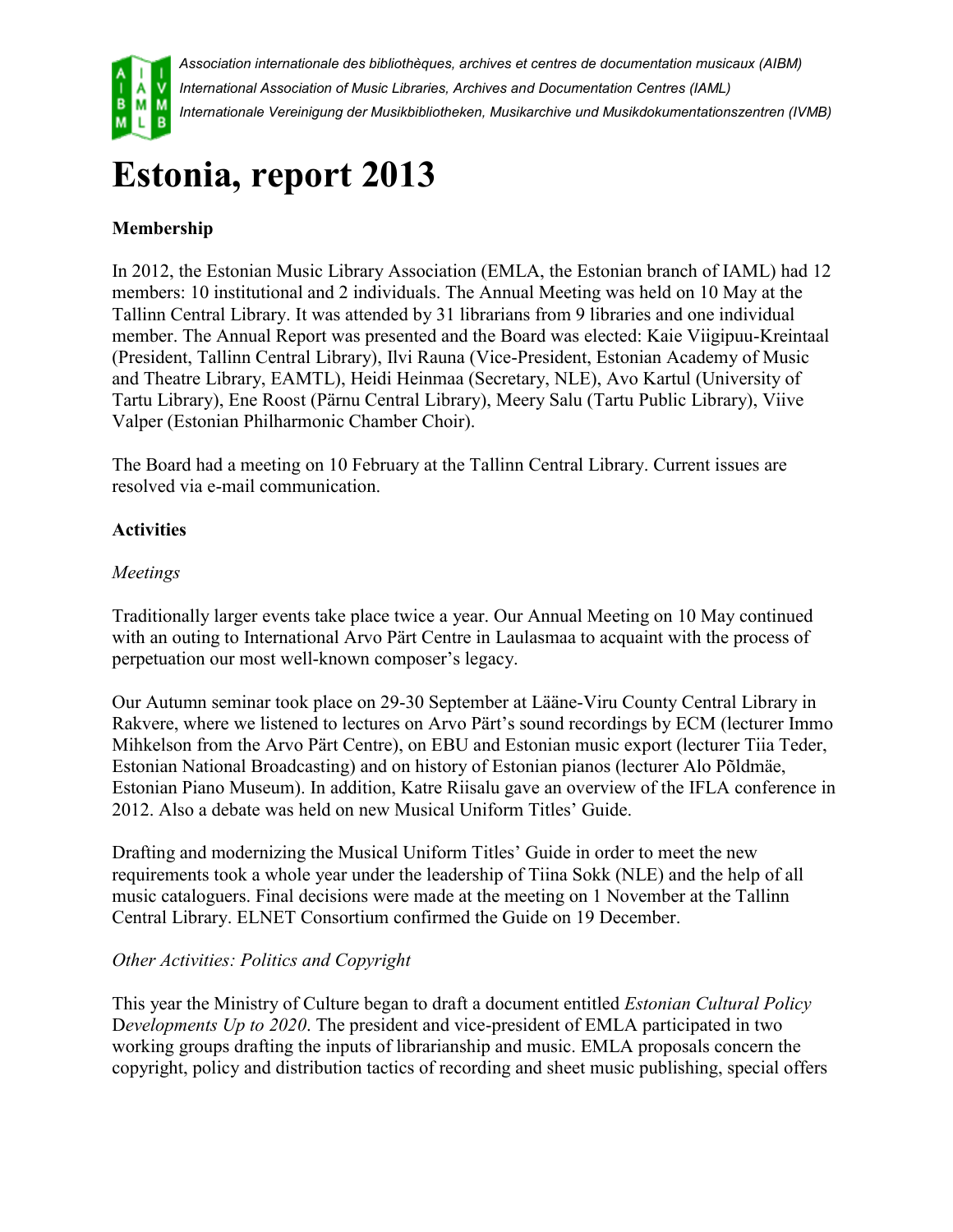

*Association internationale des bibliothèques, archives et centres de documentation musicaux (AIBM) International Association of Music Libraries, Archives and Documentation Centres (IAML) Internationale Vereinigung der Musikbibliotheken, Musikarchive und Musikdokumentationszentren (IVMB)*

# **Estonia, report 2013**

# **Membership**

In 2012, the Estonian Music Library Association (EMLA, the Estonian branch of IAML) had 12 members: 10 institutional and 2 individuals. The Annual Meeting was held on 10 May at the Tallinn Central Library. It was attended by 31 librarians from 9 libraries and one individual member. The Annual Report was presented and the Board was elected: Kaie Viigipuu-Kreintaal (President, Tallinn Central Library), Ilvi Rauna (Vice-President, Estonian Academy of Music and Theatre Library, EAMTL), Heidi Heinmaa (Secretary, NLE), Avo Kartul (University of Tartu Library), Ene Roost (Pärnu Central Library), Meery Salu (Tartu Public Library), Viive Valper (Estonian Philharmonic Chamber Choir).

The Board had a meeting on 10 February at the Tallinn Central Library. Current issues are resolved via e-mail communication.

## **Activities**

### *Meetings*

Traditionally larger events take place twice a year. Our Annual Meeting on 10 May continued with an outing to International Arvo Pärt Centre in Laulasmaa to acquaint with the process of perpetuation our most well-known composer's legacy.

Our Autumn seminar took place on 29-30 September at Lääne-Viru County Central Library in Rakvere, where we listened to lectures on Arvo Pärt's sound recordings by ECM (lecturer Immo Mihkelson from the Arvo Pärt Centre), on EBU and Estonian music export (lecturer Tiia Teder, Estonian National Broadcasting) and on history of Estonian pianos (lecturer Alo Põldmäe, Estonian Piano Museum). In addition, Katre Riisalu gave an overview of the IFLA conference in 2012. Also a debate was held on new Musical Uniform Titles' Guide.

Drafting and modernizing the Musical Uniform Titles' Guide in order to meet the new requirements took a whole year under the leadership of Tiina Sokk (NLE) and the help of all music cataloguers. Final decisions were made at the meeting on 1 November at the Tallinn Central Library. ELNET Consortium confirmed the Guide on 19 December.

#### *Other Activities: Politics and Copyright*

This year the Ministry of Culture began to draft a document entitled *Estonian Cultural Policy* D*evelopments Up to 2020*. The president and vice-president of EMLA participated in two working groups drafting the inputs of librarianship and music. EMLA proposals concern the copyright, policy and distribution tactics of recording and sheet music publishing, special offers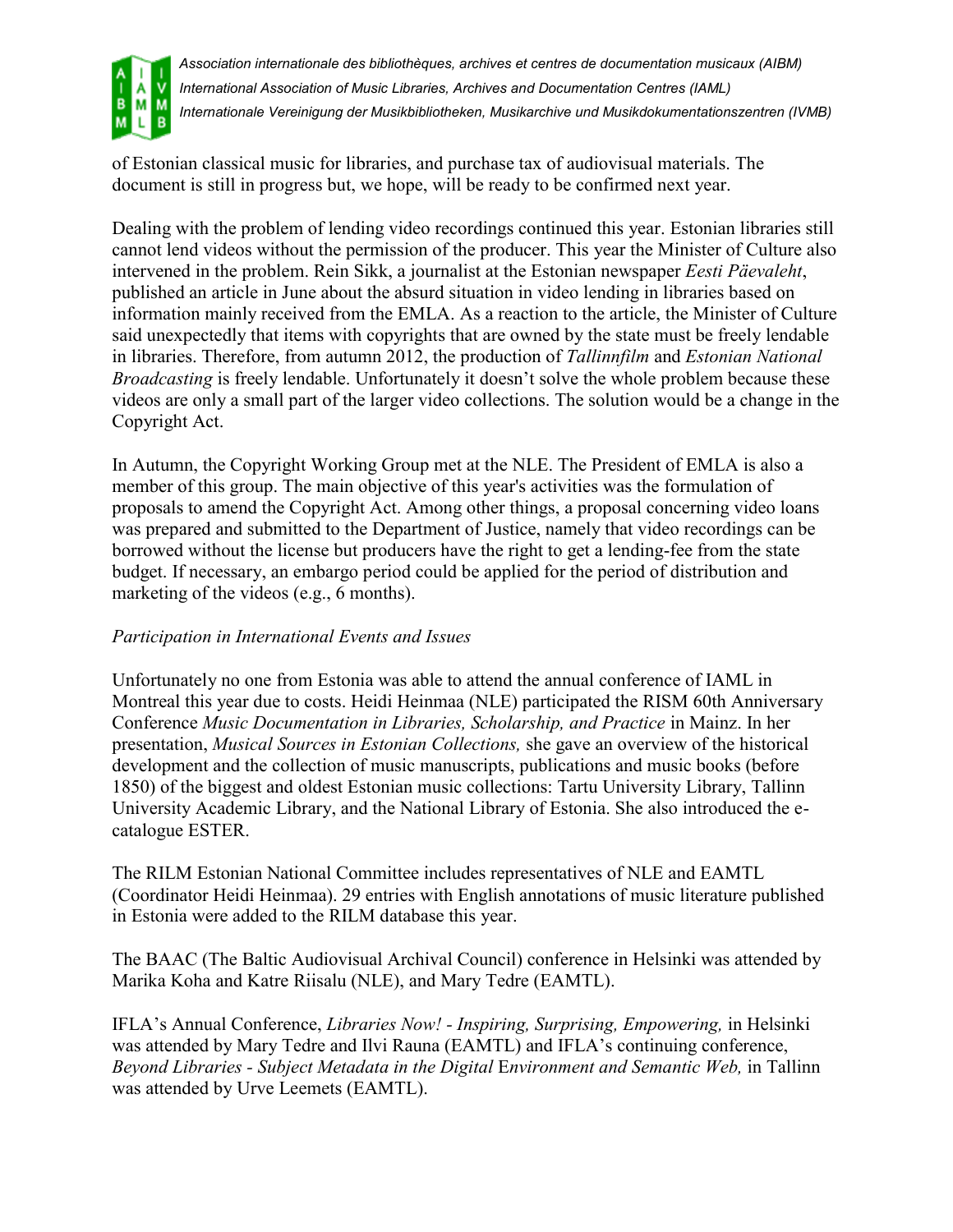

*Association internationale des bibliothèques, archives et centres de documentation musicaux (AIBM) International Association of Music Libraries, Archives and Documentation Centres (IAML) Internationale Vereinigung der Musikbibliotheken, Musikarchive und Musikdokumentationszentren (IVMB)*

of Estonian classical music for libraries, and purchase tax of audiovisual materials. The document is still in progress but, we hope, will be ready to be confirmed next year.

Dealing with the problem of lending video recordings continued this year. Estonian libraries still cannot lend videos without the permission of the producer. This year the Minister of Culture also intervened in the problem. Rein Sikk, a journalist at the Estonian newspaper *Eesti Päevaleht*, published an article in June about the absurd situation in video lending in libraries based on information mainly received from the EMLA. As a reaction to the article, the Minister of Culture said unexpectedly that items with copyrights that are owned by the state must be freely lendable in libraries. Therefore, from autumn 2012, the production of *Tallinnfilm* and *Estonian National Broadcasting* is freely lendable. Unfortunately it doesn't solve the whole problem because these videos are only a small part of the larger video collections. The solution would be a change in the Copyright Act.

In Autumn, the Copyright Working Group met at the NLE. The President of EMLA is also a member of this group. The main objective of this year's activities was the formulation of proposals to amend the Copyright Act. Among other things, a proposal concerning video loans was prepared and submitted to the Department of Justice, namely that video recordings can be borrowed without the license but producers have the right to get a lending-fee from the state budget. If necessary, an embargo period could be applied for the period of distribution and marketing of the videos (e.g., 6 months).

#### *Participation in International Events and Issues*

Unfortunately no one from Estonia was able to attend the annual conference of IAML in Montreal this year due to costs. Heidi Heinmaa (NLE) participated the RISM 60th Anniversary Conference *Music Documentation in Libraries, Scholarship, and Practice* in Mainz. In her presentation, *Musical Sources in Estonian Collections,* she gave an overview of the historical development and the collection of music manuscripts, publications and music books (before 1850) of the biggest and oldest Estonian music collections: Tartu University Library, Tallinn University Academic Library, and the National Library of Estonia. She also introduced the ecatalogue ESTER.

The RILM Estonian National Committee includes representatives of NLE and EAMTL (Coordinator Heidi Heinmaa). 29 entries with English annotations of music literature published in Estonia were added to the RILM database this year.

The BAAC (The Baltic Audiovisual Archival Council) conference in Helsinki was attended by Marika Koha and Katre Riisalu (NLE), and Mary Tedre (EAMTL).

IFLA's Annual Conference, *Libraries Now! - Inspiring, Surprising, Empowering,* in Helsinki was attended by Mary Tedre and Ilvi Rauna (EAMTL) and IFLA's continuing conference, *Beyond Libraries - Subject Metadata in the Digital* E*nvironment and Semantic Web,* in Tallinn was attended by Urve Leemets (EAMTL).